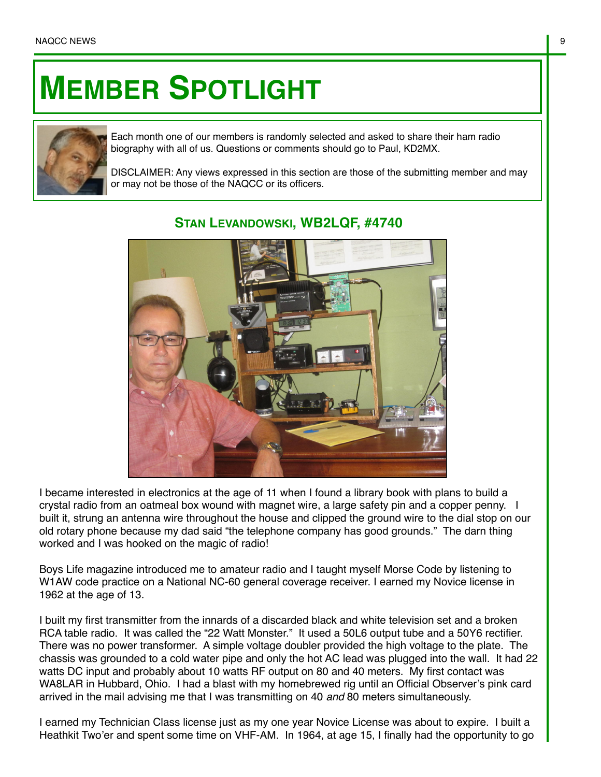## **MEMBER SPOTLIGHT**



Each month one of our members is randomly selected and asked to share their ham radio biography with all of us. Questions or comments should go to Paul, KD2MX.

DISCLAIMER: Any views expressed in this section are those of the submitting member and may or may not be those of the NAQCC or its officers.



## **STAN LEVANDOWSKI, WB2LQF, #4740**

I became interested in electronics at the age of 11 when I found a library book with plans to build a crystal radio from an oatmeal box wound with magnet wire, a large safety pin and a copper penny. I built it, strung an antenna wire throughout the house and clipped the ground wire to the dial stop on our old rotary phone because my dad said "the telephone company has good grounds." The darn thing worked and I was hooked on the magic of radio!

Boys Life magazine introduced me to amateur radio and I taught myself Morse Code by listening to W1AW code practice on a National NC-60 general coverage receiver. I earned my Novice license in 1962 at the age of 13.

I built my first transmitter from the innards of a discarded black and white television set and a broken RCA table radio. It was called the "22 Watt Monster." It used a 50L6 output tube and a 50Y6 rectifier. There was no power transformer. A simple voltage doubler provided the high voltage to the plate. The chassis was grounded to a cold water pipe and only the hot AC lead was plugged into the wall. It had 22 watts DC input and probably about 10 watts RF output on 80 and 40 meters. My first contact was WA8LAR in Hubbard, Ohio. I had a blast with my homebrewed rig until an Official Observer's pink card arrived in the mail advising me that I was transmitting on 40 *and* 80 meters simultaneously.

I earned my Technician Class license just as my one year Novice License was about to expire. I built a Heathkit Two'er and spent some time on VHF-AM. In 1964, at age 15, I finally had the opportunity to go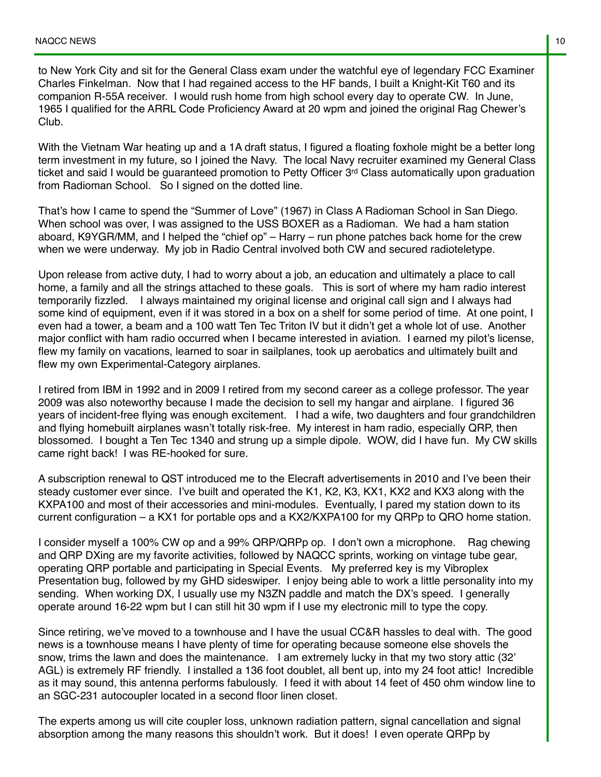to New York City and sit for the General Class exam under the watchful eye of legendary FCC Examiner Charles Finkelman. Now that I had regained access to the HF bands, I built a Knight-Kit T60 and its companion R-55A receiver. I would rush home from high school every day to operate CW. In June, 1965 I qualified for the ARRL Code Proficiency Award at 20 wpm and joined the original Rag Chewer's Club.

With the Vietnam War heating up and a 1A draft status, I figured a floating foxhole might be a better long term investment in my future, so I joined the Navy. The local Navy recruiter examined my General Class ticket and said I would be guaranteed promotion to Petty Officer 3<sup>rd</sup> Class automatically upon graduation from Radioman School. So I signed on the dotted line.

That's how I came to spend the "Summer of Love" (1967) in Class A Radioman School in San Diego. When school was over, I was assigned to the USS BOXER as a Radioman. We had a ham station aboard, K9YGR/MM, and I helped the "chief op" – Harry – run phone patches back home for the crew when we were underway. My job in Radio Central involved both CW and secured radioteletype.

Upon release from active duty, I had to worry about a job, an education and ultimately a place to call home, a family and all the strings attached to these goals. This is sort of where my ham radio interest temporarily fizzled. I always maintained my original license and original call sign and I always had some kind of equipment, even if it was stored in a box on a shelf for some period of time. At one point, I even had a tower, a beam and a 100 watt Ten Tec Triton IV but it didn't get a whole lot of use. Another major conflict with ham radio occurred when I became interested in aviation. I earned my pilot's license, flew my family on vacations, learned to soar in sailplanes, took up aerobatics and ultimately built and flew my own Experimental-Category airplanes.

I retired from IBM in 1992 and in 2009 I retired from my second career as a college professor. The year 2009 was also noteworthy because I made the decision to sell my hangar and airplane. I figured 36 years of incident-free flying was enough excitement. I had a wife, two daughters and four grandchildren and flying homebuilt airplanes wasn't totally risk-free. My interest in ham radio, especially QRP, then blossomed. I bought a Ten Tec 1340 and strung up a simple dipole. WOW, did I have fun. My CW skills came right back! I was RE-hooked for sure.

A subscription renewal to QST introduced me to the Elecraft advertisements in 2010 and I've been their steady customer ever since. I've built and operated the K1, K2, K3, KX1, KX2 and KX3 along with the KXPA100 and most of their accessories and mini-modules. Eventually, I pared my station down to its current configuration – a KX1 for portable ops and a KX2/KXPA100 for my QRPp to QRO home station.

I consider myself a 100% CW op and a 99% QRP/QRPp op. I don't own a microphone. Rag chewing and QRP DXing are my favorite activities, followed by NAQCC sprints, working on vintage tube gear, operating QRP portable and participating in Special Events. My preferred key is my Vibroplex Presentation bug, followed by my GHD sideswiper. I enjoy being able to work a little personality into my sending. When working DX, I usually use my N3ZN paddle and match the DX's speed. I generally operate around 16-22 wpm but I can still hit 30 wpm if I use my electronic mill to type the copy.

Since retiring, we've moved to a townhouse and I have the usual CC&R hassles to deal with. The good news is a townhouse means I have plenty of time for operating because someone else shovels the snow, trims the lawn and does the maintenance. I am extremely lucky in that my two story attic (32' AGL) is extremely RF friendly. I installed a 136 foot doublet, all bent up, into my 24 foot attic! Incredible as it may sound, this antenna performs fabulously. I feed it with about 14 feet of 450 ohm window line to an SGC-231 autocoupler located in a second floor linen closet.

The experts among us will cite coupler loss, unknown radiation pattern, signal cancellation and signal absorption among the many reasons this shouldn't work. But it does! I even operate QRPp by